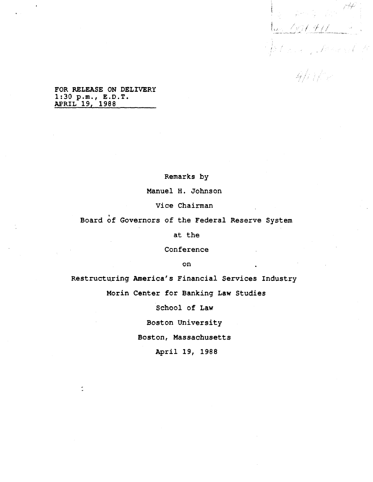.<br>Sanda sarganad and a description of the form of any same. ot kan ji kend k .<br>Militê

**FOR RELEASE ON DELIVERY 1:30 p.m., E.D.T. APRIL 19, 1988**

**Remarks by**

**Manuel H. Johnson**

**Vice Chairman**

t **Board of Governors of the Federal Reserve System**

**at the**

**Conference**

**on**

**Restructuring America's Financial Services Industry Morin Center for Banking Law Studies**

**School of Law**

**Boston University**

**Boston, Massachusetts**

**April 19, 1988**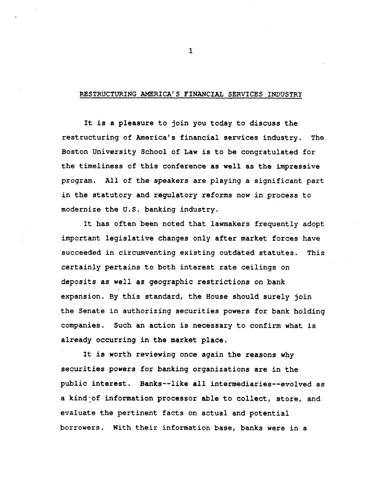## **RESTRUCTURING AMERICA'S FINANCIAL SERVICES INDUSTRY**

**It is a pleasure to join you today to discuss the restructuring of America's financial services industry. The Boston University School of Law is to be congratulated for the timeliness of this conference as well as the impressive program. All of the speakers are playing a significant part in the statutory and regulatory reforms now in process to modernize the U.S. banking industry.**

**It has often been noted that lawmakers frequently adopt important legislative changes only after market forces have succeeded in circumventing existing outdated statutes. This certainly pertains to both interest rate ceilings on deposits as well as geographic restrictions on bank expansion. By this standard, the House should surely join the Senate in authorizing securities powers for bank holding companies. Such an action is necessary to confirm what is already occurring in the market place.**

**It is worth reviewing once again the reasons why securities powers for banking organizations are in the public interest. Banks—like all intermediaries—evolved as a kind-of information processor able to collect, store, and evaluate the pertinent facts on actual and potential borrowers. With their information base, banks were in a**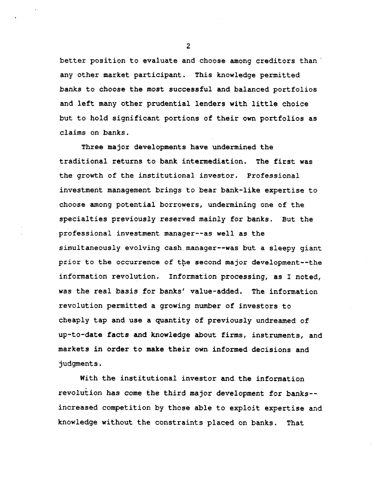**better position to evaluate and choose among creditors than any other market participant. This knowledge permitted banks to choose the most successful and balanced portfolios and left many other prudential lenders with little choice but to hold significant portions of their own portfolios as claims on banks.**

**Three major developments have undermined the traditional returns to bank intermediation. The first was the growth of the institutional investor. Professional investment management brings to bear bank-like expertise to choose among potential borrowers, undermining one of the specialties previously reserved mainly for banks. But the professional investment manager—as well as the simultaneously evolving cash.manager—was but a sleepy giant prior to the occurrence of the second major development—the information revolution. Information processing, as I noted, was the real basis for banks' value-added. The information revolution permitted a growing number of investors to cheaply tap and use a quantity of previously undreamed of up-to-date facts and knowledge about firms, instruments, and markets in order to make their own informed decisions and judgments.**

**With the institutional investor and the information revolution has come the third major development for banks increased competition by those able to exploit expertise and knowledge without the constraints placed on banks. That**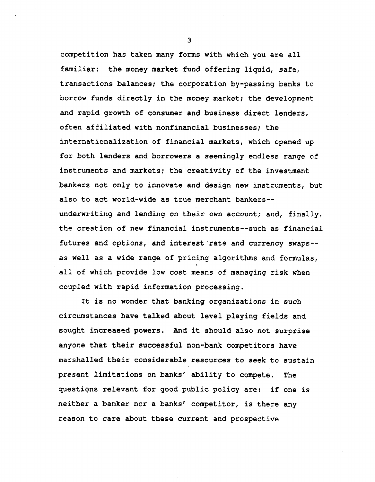**competition has taken many forms with which you are all familiar: the money market fund offering liquid, safe, transactions balances; the corporation by-passing banks to borrow funds directly in the money market; the development and rapid growth of consumer and business direct lenders, often affiliated with nonfinancial businesses; the internationalization of financial markets, which opened up for both lenders and borrowers a seemingly endless range of instruments and markets; the creativity of the investment bankers not only to innovate and design new instruments, but also to act world-wide as true merchant bankersunderwriting and lending on their own account; and, finally, the creation of new financial instruments—such as financial futures and options, and interest rate and currency swaps- as well as a wide range of pricing algorithms and formulas, all of which provide low cost means of managing risk when coupled with rapid information processing.**

**It is no wonder that banking organizations in such circumstances have talked about level playing fields and sought increased powers. And it should also not surprise anyone that their successful non-bank competitors have marshalled their considerable resources to seek to sustain present limitations on banks' ability to compete. The questions relevant for good public policy are: if one is neither a banker nor a banks' competitor, is there any reason to care about these current and prospective**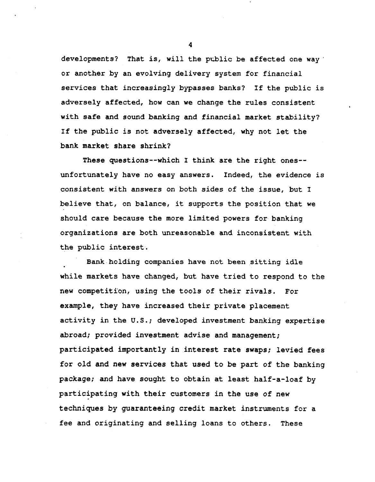**developments? That is, will the public be affected one way or another by an evolving delivery system for financial services that increasingly bypasses banks? If the public is adversely affected, how can we change the rules consistent with safe and sound baulking and financial market stability? If the public is not adversely affected, why not let the bank market share shrink?**

**These questions—which I think are the right ones unfortunately have no easy answers. Indeed, the evidence is consistent with answers on both sides of the issue, but I believe that, on balance, it supports the position that we should care because the more limited powers for banking organizations are both unreasonable and inconsistent with the public interest.**

**Bank holding companies have not been sitting idle while markets have changed, but have tried to respond to the new competition, using the tools of their rivals. For example, they have increased their private placement activity in the U.S.; developed investment banking expertise abroad; provided investment advise and management; participated importantly in interest rate swaps; levied fees for old and new services that used to be part of the banking package; and have sought to obtain at least half-a-loaf by participating with their customers in the use of new techniques by guaranteeing credit market instruments for a fee and originating and selling loans to others. These**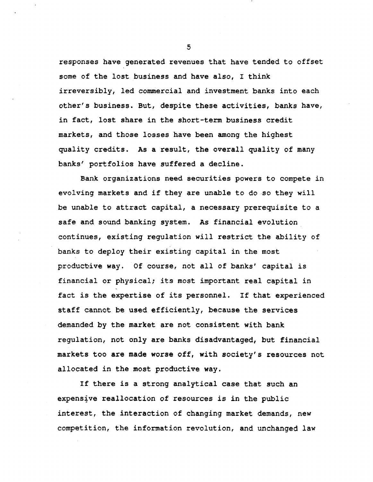**responses have generated revenues that have tended to offset some of the lost business and have also, I think irreversibly, led commercial and investment banks into each other's business. But, despite these activities, banks have, in fact, lost share in the short-term business credit markets, and those losses have been among the highest quality credits. As a result, the overall quality of many banks' portfolios have suffered a decline.**

**Bank organizations need securities powers to compete in evolving markets and if they are unable to do so they will be unable to attract capital, a necessary prerequisite to a safe and sound banking system. As financial evolution continues, existing regulation will restrict the ability of banks to deploy their existing capital in the most product-ive way. Of course, not all of banks' capital is financial or physical; its most important real capital in fact is the expertise of its personnel. If that experienced staff cannot be used efficiently, because the services demanded by the market are not consistent with bank regulation, not only are banks disadvantaged, but financial markets too are made worse off, with society's resources not allocated in the most productive way.**

**If there is a strong analytical case that such an expensive reallocation of resources is in the public interest, the interaction of changing market demands, new competition, the information revolution, and unchanged law**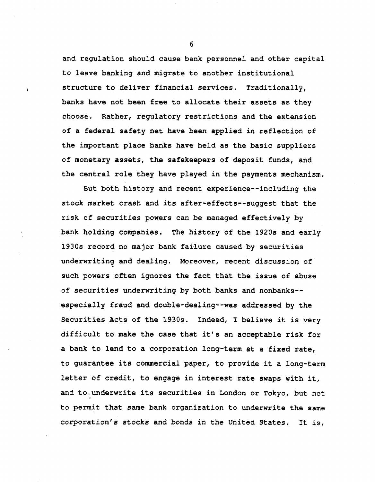**and regulation should cause bank personnel and other capital to leave banking and migrate to another institutional structure to deliver financial services. Traditionally, banks have not been free to allocate their assets as they choose. Rather, regulatory restrictions and the extension of a federal safety net have been applied in reflection of the important place banks have held as the basic suppliers of monetary assets, the safekeepers of deposit funds, and the central role they have played in the payments mechanism.**

**But both history and recent experience--including the stock market crash and its after-effects—suggest that the risk of securities powers can be managed effectively by bank holding companies. The history of the 1920s and early 1930s record no major bank failure caused by securities underwriting and dealing. Moreover, recent discussion of such powers often ignores the fact that the issue of abuse of securities underwriting by both banks and nonbanks- especially fraud and double-dealing—was addressed by the Securities Acts of the 1930s. Indeed, I believe it is very difficult to make the case that it's an acceptable risk for a bank to lend to a corporation long-term at a fixed rate, to guarantee its commercial paper, to provide it a long-term letter of credit, to engage in interest rate swaps with it, and to.underwrite its securities in London or Tokyo, but not to permit that same bank organization to underwrite the same corporation's stocks and bonds in the United States. It is,**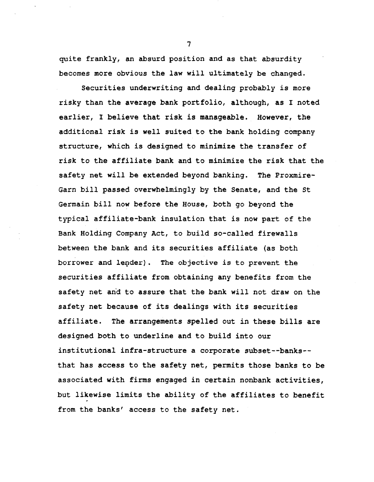**quite frankly, an absurd position and as that absurdity becomes more obvious the law will ultimately be changed.**

**Securities underwriting and dealing probably is more risky than the average bank portfolio, although, as I noted earlier, I believe that risk is manageable. However, the additional risk is well suited to the bank holding company structure, which is designed to minimize the transfer of risk to the affiliate bank and to minimize the risk that the safety net will be extended beyond banking. The Proxmire-Garn bill passed overwhelmingly by the Senate, and the St Germain bill now before the House, both go beyond the typical affiliate-bank insulation that is now part of the Bank Holding Company Act, to build so-called firewalls between the bank and its securities affiliate (as both borrower and lender). The objective is to prevent the securities affiliate from obtaining any benefits from the safety net and to assure that the bank will not draw on the safety net because of its dealings with its securities affiliate. The arrangements spelled out in these bills are designed both to underline and to build into our institutional infra-structure a corporate subset—banks that has access to the safety net, permits those banks to be associated with firms engaged in certain nonbank activities, but likewise limits the ability of the affiliates to benefit from the banks' access to the safety net.**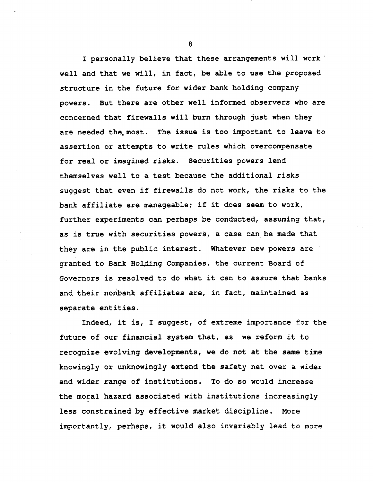**I personally believe that these arrangements will work well and that we will, in fact, be able to use the proposed structure in the future for wider bank holding company powers. But there are other well informed observers who are concerned that firewalls will burn through just when they are needed the. most. The issue is too important to leave to assertion or attempts to write rules which overcompensate for real or imagined risks. Securities powers lend themselves well to a test because the additional risks suggest that even if firewalls do not work, the risks to the bank affiliate are manageable; if it does seem to work, further experiments can perhaps be conducted, assuming that, as is true with securities powers, a case can be made that they are in the public interest. Whatever new powers are granted to Bank Holding Companies, the current Board of Governors is resolved to do what it can to assure that banks and their nonbank affiliates are, in fact, maintained as separate entities.**

**Indeed, it is, I suggest, of extreme importance for the future of our financial system that, as we reform it to recognize evolving developments, we do not at the same time knowingly or unknowingly extend the safety net over a wider and wider range of institutions. To do so would increase the moral hazard associated with institutions increasingly less constrained by effective market discipline. More importantly, perhaps, it would also invariably lead to more**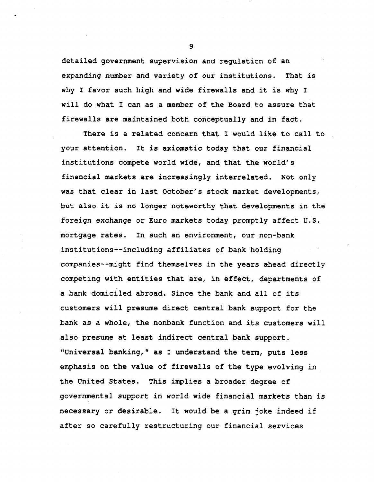**detailed government supervision and regulation of an expanding number and variety of our institutions. That is why I favor such high and wide firewalls and it is why I will do what I can as a member of the Board to assure that firewalls are maintained both conceptually and in fact.**

**There is a related concern that I would like to call to your attention. It is axiomatic today that our financial institutions compete world wide, and that the world's financial markets are increasingly interrelated. Not only was that clear in last October's stock market developments, but also it is no longer noteworthy that developments in the foreign exchange or Euro markets today promptly affect U.S. mortgage rates. In such an environment, our non-bank institutions—including affiliates of bank holding companies—might find themselves in the years ahead directly competing with entities that are, in effect, departments of a bank domiciled abroad. Since the bank and all of its customers will presume direct central bank support for the bank as a whole, the nonbank function and its customers will also presume at least indirect central bank support. "Universal baulking, " as I understand the term, puts less emphasis on the value of firewalls of the type evolving in the United States. This implies a broader degree of governmental support in world wide financial markets than is necessary or desirable. It would be a grim joke indeed if after so carefully restructuring our financial services**